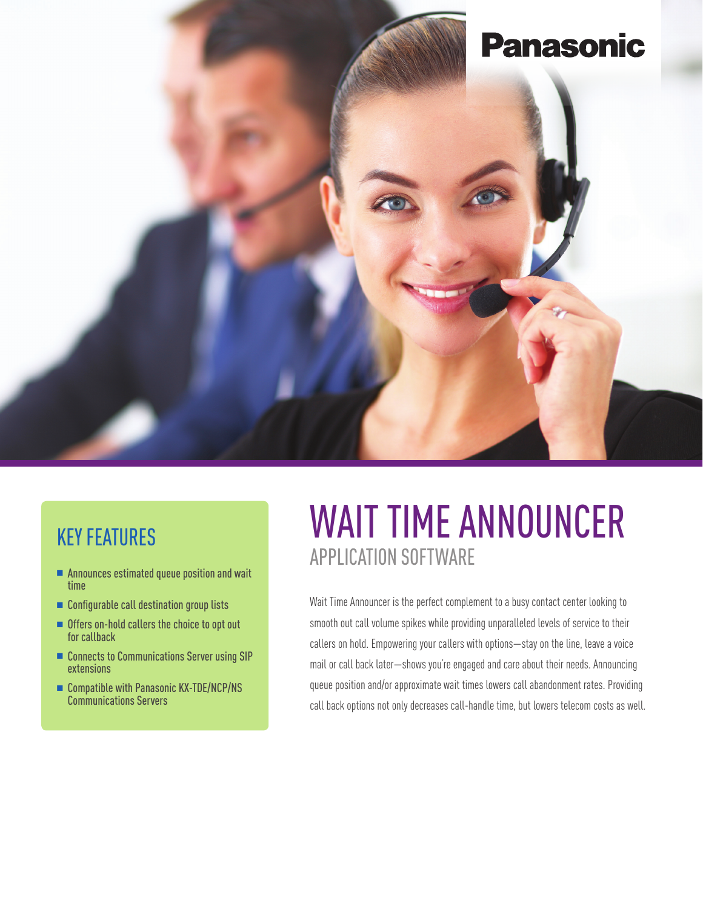

### KEY FEATURES

- $\blacksquare$  Announces estimated queue position and wait time
- $\blacksquare$  Configurable call destination group lists
- **n** Offers on-hold callers the choice to opt out for callback
- Connects to Communications Server using SIP extensions
- $\blacksquare$  Compatible with Panasonic KX-TDE/NCP/NS Communications Servers

# WAIT TIME ANNOUNCER APPLICATION SOFTWARE

Wait Time Announcer is the perfect complement to a busy contact center looking to smooth out call volume spikes while providing unparalleled levels of service to their callers on hold. Empowering your callers with options—stay on the line, leave a voice mail or call back later—shows you're engaged and care about their needs. Announcing queue position and/or approximate wait times lowers call abandonment rates. Providing call back options not only decreases call-handle time, but lowers telecom costs as well.